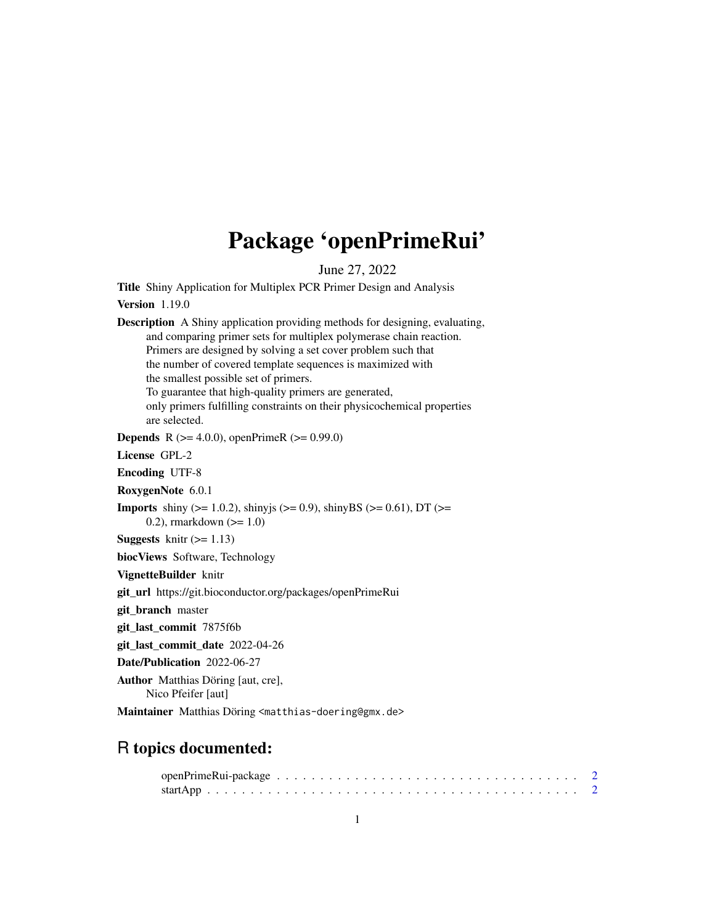# Package 'openPrimeRui'

June 27, 2022

Title Shiny Application for Multiplex PCR Primer Design and Analysis

#### Version 1.19.0

Description A Shiny application providing methods for designing, evaluating, and comparing primer sets for multiplex polymerase chain reaction. Primers are designed by solving a set cover problem such that the number of covered template sequences is maximized with the smallest possible set of primers. To guarantee that high-quality primers are generated, only primers fulfilling constraints on their physicochemical properties are selected. **Depends** R ( $>= 4.0.0$ ), openPrimeR ( $>= 0.99.0$ ) License GPL-2 Encoding UTF-8 RoxygenNote 6.0.1 **Imports** shiny ( $>= 1.0.2$ ), shinyjs ( $>= 0.9$ ), shinyBS ( $>= 0.61$ ), DT ( $>=$ 0.2), rmarkdown  $(>= 1.0)$ **Suggests** knitr  $(>= 1.13)$ biocViews Software, Technology VignetteBuilder knitr git\_url https://git.bioconductor.org/packages/openPrimeRui git\_branch master git\_last\_commit 7875f6b git\_last\_commit\_date 2022-04-26 Date/Publication 2022-06-27 Author Matthias Döring [aut, cre], Nico Pfeifer [aut] Maintainer Matthias Döring <matthias-doering@gmx.de>

## R topics documented: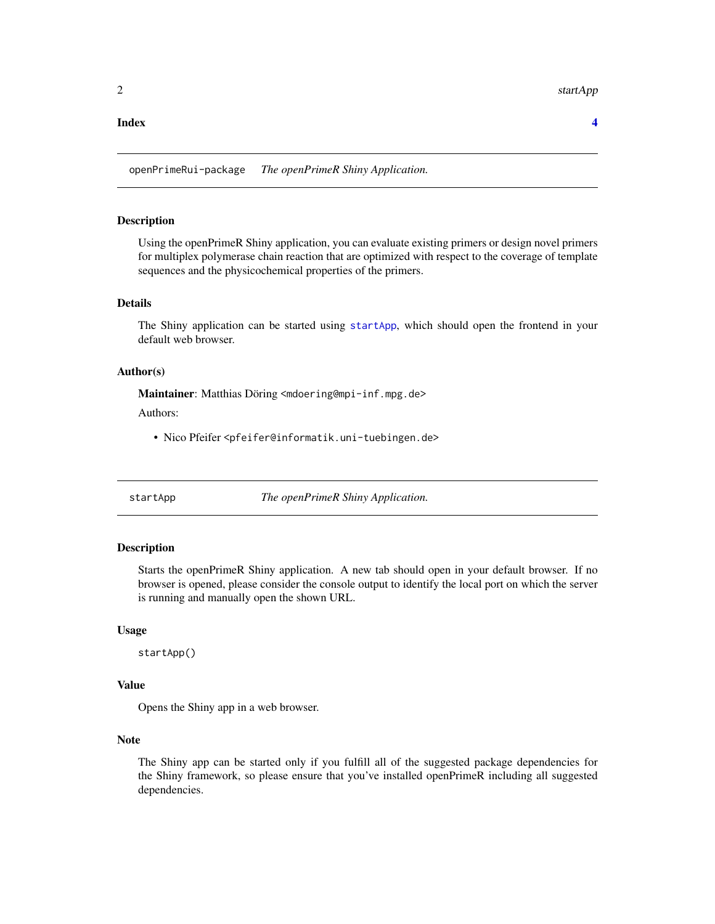<span id="page-1-0"></span>2 startApp startApp startApp startApp startApp startApp startApp startApp startApp startApp startApp startApp startApp startApp startApp startApp startApp startApp startApp startApp startApp startApp startApp startApp star

#### **Index** [4](#page-3-0)

openPrimeRui-package *The openPrimeR Shiny Application.*

#### Description

Using the openPrimeR Shiny application, you can evaluate existing primers or design novel primers for multiplex polymerase chain reaction that are optimized with respect to the coverage of template sequences and the physicochemical properties of the primers.

#### Details

The Shiny application can be started using [startApp](#page-1-1), which should open the frontend in your default web browser.

#### Author(s)

Maintainer: Matthias Döring <mdoering@mpi-inf.mpg.de>

Authors:

• Nico Pfeifer <pfeifer@informatik.uni-tuebingen.de>

<span id="page-1-1"></span>startApp *The openPrimeR Shiny Application.*

#### Description

Starts the openPrimeR Shiny application. A new tab should open in your default browser. If no browser is opened, please consider the console output to identify the local port on which the server is running and manually open the shown URL.

#### Usage

startApp()

#### Value

Opens the Shiny app in a web browser.

#### Note

The Shiny app can be started only if you fulfill all of the suggested package dependencies for the Shiny framework, so please ensure that you've installed openPrimeR including all suggested dependencies.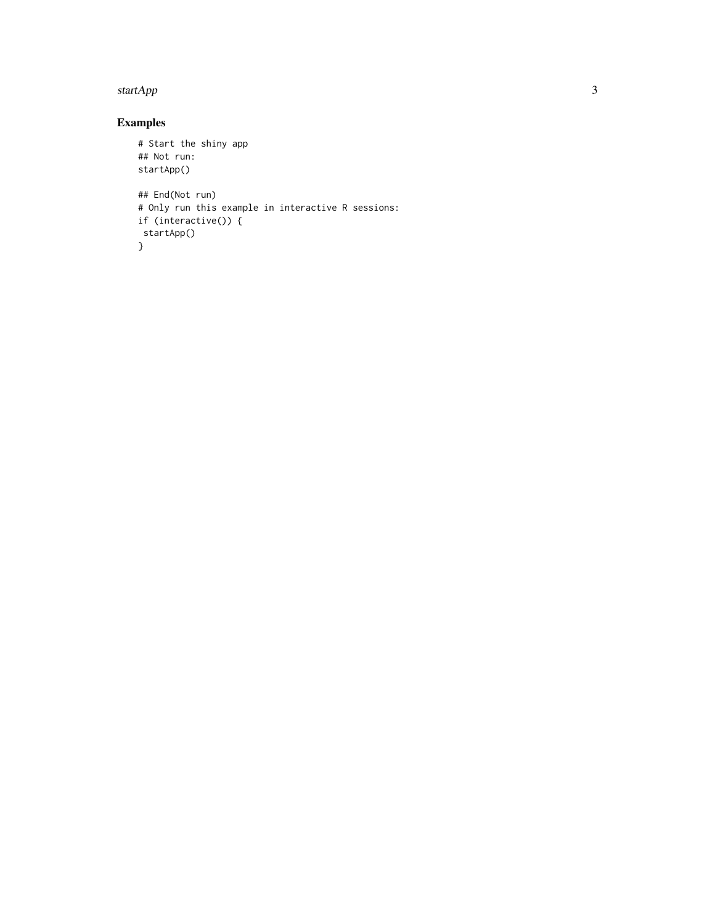#### startApp 3

### Examples

```
# Start the shiny app
## Not run:
startApp()
## End(Not run)
# Only run this example in interactive R sessions:
if (interactive()) {
startApp()
}
```